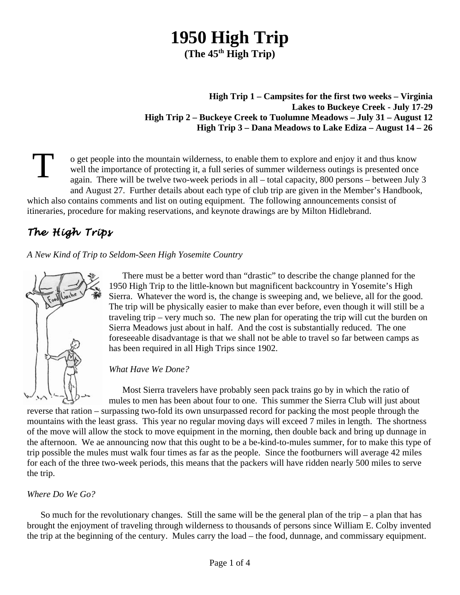# **1950 High Trip**

**(The 45th High Trip)**

#### **High Trip 1 – Campsites for the first two weeks – Virginia Lakes to Buckeye Creek - July 17-29 High Trip 2 – Buckeye Creek to Tuolumne Meadows – July 31 – August 12 High Trip 3 – Dana Meadows to Lake Ediza – August 14 – 26**

T o get people into the mountain wilderness, to enable them to explore and enjoy it and thus know well the importance of protecting it, a full series of summer wilderness outings is presented once again. There will be twelve two-week periods in all – total capacity, 800 persons – between July 3 and August 27. Further details about each type of club trip are given in the Member's Handbook, which also contains comments and list on outing equipment. The following announcements consist of itineraries, procedure for making reservations, and keynote drawings are by Milton Hidlebrand.

# *The High Trips*

*A New Kind of Trip to Seldom-Seen High Yosemite Country*



There must be a better word than "drastic" to describe the change planned for the 1950 High Trip to the little-known but magnificent backcountry in Yosemite's High Sierra. Whatever the word is, the change is sweeping and, we believe, all for the good. The trip will be physically easier to make than ever before, even though it will still be a traveling trip – very much so. The new plan for operating the trip will cut the burden on Sierra Meadows just about in half. And the cost is substantially reduced. The one foreseeable disadvantage is that we shall not be able to travel so far between camps as has been required in all High Trips since 1902.

## *What Have We Done?*

Most Sierra travelers have probably seen pack trains go by in which the ratio of mules to men has been about four to one. This summer the Sierra Club will just about reverse that ration – surpassing two-fold its own unsurpassed record for packing the most people through the mountains with the least grass. This year no regular moving days will exceed 7 miles in length. The shortness of the move will allow the stock to move equipment in the morning, then double back and bring up dunnage in the afternoon. We ae announcing now that this ought to be a be-kind-to-mules summer, for to make this type of trip possible the mules must walk four times as far as the people. Since the footburners will average 42 miles for each of the three two-week periods, this means that the packers will have ridden nearly 500 miles to serve the trip.

## *Where Do We Go?*

So much for the revolutionary changes. Still the same will be the general plan of the trip – a plan that has brought the enjoyment of traveling through wilderness to thousands of persons since William E. Colby invented the trip at the beginning of the century. Mules carry the load – the food, dunnage, and commissary equipment.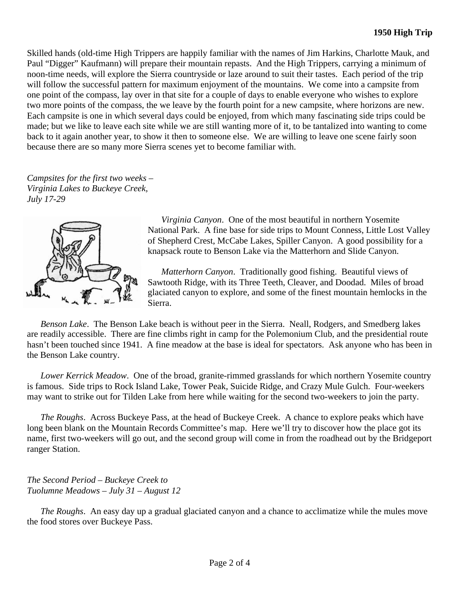Skilled hands (old-time High Trippers are happily familiar with the names of Jim Harkins, Charlotte Mauk, and Paul "Digger" Kaufmann) will prepare their mountain repasts. And the High Trippers, carrying a minimum of noon-time needs, will explore the Sierra countryside or laze around to suit their tastes. Each period of the trip will follow the successful pattern for maximum enjoyment of the mountains. We come into a campsite from one point of the compass, lay over in that site for a couple of days to enable everyone who wishes to explore two more points of the compass, the we leave by the fourth point for a new campsite, where horizons are new. Each campsite is one in which several days could be enjoyed, from which many fascinating side trips could be made; but we like to leave each site while we are still wanting more of it, to be tantalized into wanting to come back to it again another year, to show it then to someone else. We are willing to leave one scene fairly soon because there are so many more Sierra scenes yet to become familiar with.

*Campsites for the first two weeks – Virginia Lakes to Buckeye Creek, July 17-29*



*Virginia Canyon*. One of the most beautiful in northern Yosemite National Park. A fine base for side trips to Mount Conness, Little Lost Valley of Shepherd Crest, McCabe Lakes, Spiller Canyon. A good possibility for a knapsack route to Benson Lake via the Matterhorn and Slide Canyon.

*Matterhorn Canyon*. Traditionally good fishing. Beautiful views of Sawtooth Ridge, with its Three Teeth, Cleaver, and Doodad. Miles of broad glaciated canyon to explore, and some of the finest mountain hemlocks in the Sierra.

*Benson Lake*. The Benson Lake beach is without peer in the Sierra. Neall, Rodgers, and Smedberg lakes are readily accessible. There are fine climbs right in camp for the Polemonium Club, and the presidential route hasn't been touched since 1941. A fine meadow at the base is ideal for spectators. Ask anyone who has been in the Benson Lake country.

*Lower Kerrick Meadow*. One of the broad, granite-rimmed grasslands for which northern Yosemite country is famous. Side trips to Rock Island Lake, Tower Peak, Suicide Ridge, and Crazy Mule Gulch. Four-weekers may want to strike out for Tilden Lake from here while waiting for the second two-weekers to join the party.

*The Roughs*. Across Buckeye Pass, at the head of Buckeye Creek. A chance to explore peaks which have long been blank on the Mountain Records Committee's map. Here we'll try to discover how the place got its name, first two-weekers will go out, and the second group will come in from the roadhead out by the Bridgeport ranger Station.

*The Second Period – Buckeye Creek to Tuolumne Meadows – July 31 – August 12*

*The Roughs*. An easy day up a gradual glaciated canyon and a chance to acclimatize while the mules move the food stores over Buckeye Pass.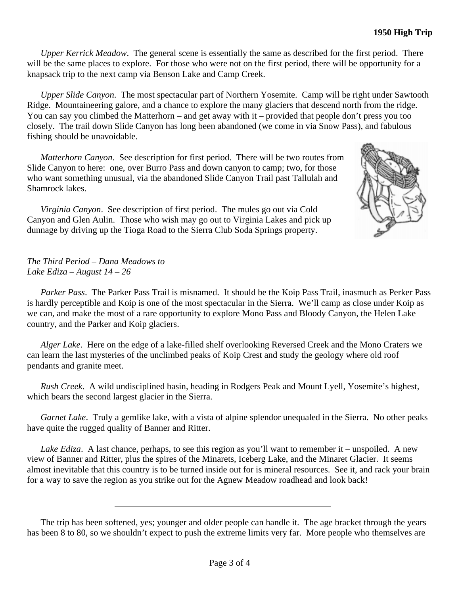*Upper Kerrick Meadow*. The general scene is essentially the same as described for the first period. There will be the same places to explore. For those who were not on the first period, there will be opportunity for a knapsack trip to the next camp via Benson Lake and Camp Creek.

*Upper Slide Canyon*. The most spectacular part of Northern Yosemite. Camp will be right under Sawtooth Ridge. Mountaineering galore, and a chance to explore the many glaciers that descend north from the ridge. You can say you climbed the Matterhorn – and get away with it – provided that people don't press you too closely. The trail down Slide Canyon has long been abandoned (we come in via Snow Pass), and fabulous fishing should be unavoidable.

*Matterhorn Canyon*. See description for first period. There will be two routes from Slide Canyon to here: one, over Burro Pass and down canyon to camp; two, for those who want something unusual, via the abandoned Slide Canyon Trail past Tallulah and Shamrock lakes.

*Virginia Canyon*. See description of first period. The mules go out via Cold Canyon and Glen Aulin. Those who wish may go out to Virginia Lakes and pick up dunnage by driving up the Tioga Road to the Sierra Club Soda Springs property.



*The Third Period – Dana Meadows to Lake Ediza – August 14 – 26*

*Parker Pass*. The Parker Pass Trail is misnamed. It should be the Koip Pass Trail, inasmuch as Perker Pass is hardly perceptible and Koip is one of the most spectacular in the Sierra. We'll camp as close under Koip as we can, and make the most of a rare opportunity to explore Mono Pass and Bloody Canyon, the Helen Lake country, and the Parker and Koip glaciers.

*Alger Lake*. Here on the edge of a lake-filled shelf overlooking Reversed Creek and the Mono Craters we can learn the last mysteries of the unclimbed peaks of Koip Crest and study the geology where old roof pendants and granite meet.

*Rush Creek*. A wild undisciplined basin, heading in Rodgers Peak and Mount Lyell, Yosemite's highest, which bears the second largest glacier in the Sierra.

*Garnet Lake*. Truly a gemlike lake, with a vista of alpine splendor unequaled in the Sierra. No other peaks have quite the rugged quality of Banner and Ritter.

*Lake Ediza*. A last chance, perhaps, to see this region as you'll want to remember it – unspoiled. A new view of Banner and Ritter, plus the spires of the Minarets, Iceberg Lake, and the Minaret Glacier. It seems almost inevitable that this country is to be turned inside out for is mineral resources. See it, and rack your brain for a way to save the region as you strike out for the Agnew Meadow roadhead and look back!

The trip has been softened, yes; younger and older people can handle it. The age bracket through the years has been 8 to 80, so we shouldn't expect to push the extreme limits very far. More people who themselves are